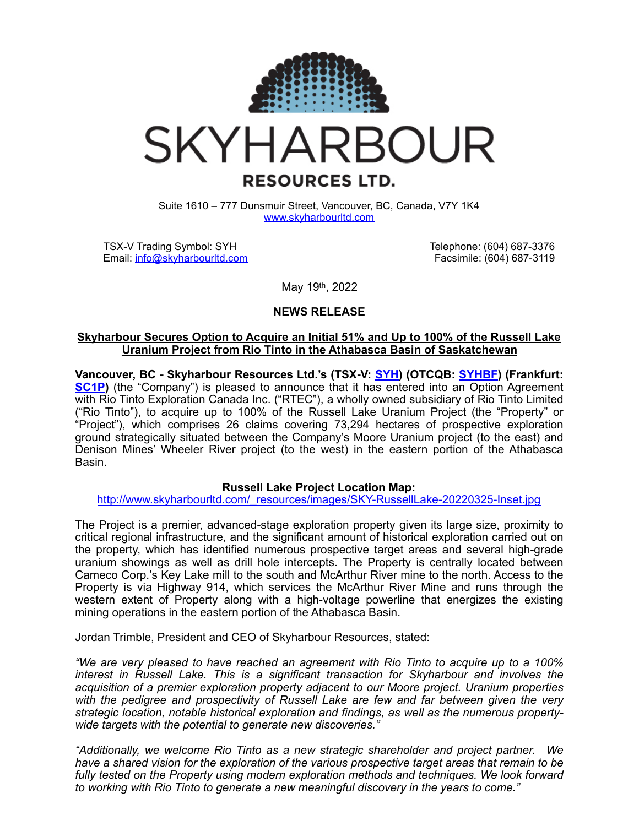

# **SKYHARBOUR RESOURCES LTD.**

Suite 1610 – 777 Dunsmuir Street, Vancouver, BC, Canada, V7Y 1K4 [www.skyharbourltd.com](http://www.skyharbourltd.com)

TSX-V Trading Symbol: SYH Email: [info@skyharbourltd.com](mailto:info@skyharbourltd.com) Telephone: (604) 687-3376 Facsimile: (604) 687-3119

May 19th, 2022

## **NEWS RELEASE**

## **Skyharbour Secures Option to Acquire an Initial 51% and Up to 100% of the Russell Lake Uranium Project from Rio Tinto in the Athabasca Basin of Saskatchewan**

**Vancouver, BC - Skyharbour Resources Ltd.'s (TSX-V: [SYH](https://money.tmx.com/en/quote/SYH)) (OTCQB: [SYHBF](https://www.otcmarkets.com/stock/SYHBF/news/story?e&id=1544003)) (Frankfurt: [SC1P\)](https://www.boerse-frankfurt.de/equity/skyharbour-resources)** (the "Company") is pleased to announce that it has entered into an Option Agreement with Rio Tinto Exploration Canada Inc. ("RTEC"), a wholly owned subsidiary of Rio Tinto Limited ("Rio Tinto"), to acquire up to 100% of the Russell Lake Uranium Project (the "Property" or "Project"), which comprises 26 claims covering 73,294 hectares of prospective exploration ground strategically situated between the Company's Moore Uranium project (to the east) and Denison Mines' Wheeler River project (to the west) in the eastern portion of the Athabasca Basin.

## **Russell Lake Project Location Map:**

## [http://www.skyharbourltd.com/\\_resources/images/SKY-RussellLake-20220325-Inset.jpg](https://can01.safelinks.protection.outlook.com/?url=http%253A%252F%252Fwww.skyharbourltd.com%252F_resources%252Fimages%252FSKY-RussellLake-20220325-Inset.jpg&data=05%257C01%257Cjtrimble%2540sentinelmarket.com%257C928771f9bc4d4bc1176208da3928e45f%257C7887c856c65a4519b618509a66239c3c%257C0%257C0%257C637885145034578143%257CUnknown%257CTWFpbGZsb3d8eyJWIjoiMC4wLjAwMDAiLCJQIjoiV2luMzIiLCJBTiI6Ik1haWwiLCJXVCI6Mn0%253D%257C3000%257C%257C%257C&sdata=vY7SfImfH37mcWIezy4RRrrKtL8%252BeR4yMZvRijf8E%252Bs%253D&reserved=0)

The Project is a premier, advanced-stage exploration property given its large size, proximity to critical regional infrastructure, and the significant amount of historical exploration carried out on the property, which has identified numerous prospective target areas and several high-grade uranium showings as well as drill hole intercepts. The Property is centrally located between Cameco Corp.'s Key Lake mill to the south and McArthur River mine to the north. Access to the Property is via Highway 914, which services the McArthur River Mine and runs through the western extent of Property along with a high-voltage powerline that energizes the existing mining operations in the eastern portion of the Athabasca Basin.

Jordan Trimble, President and CEO of Skyharbour Resources, stated:

*"We are very pleased to have reached an agreement with Rio Tinto to acquire up to a 100% interest in Russell Lake. This is a significant transaction for Skyharbour and involves the acquisition of a premier exploration property adjacent to our Moore project. Uranium properties with the pedigree and prospectivity of Russell Lake are few and far between given the very strategic location, notable historical exploration and findings, as well as the numerous propertywide targets with the potential to generate new discoveries."*

*"Additionally, we welcome Rio Tinto as a new strategic shareholder and project partner. We have a shared vision for the exploration of the various prospective target areas that remain to be fully tested on the Property using modern exploration methods and techniques. We look forward to working with Rio Tinto to generate a new meaningful discovery in the years to come."*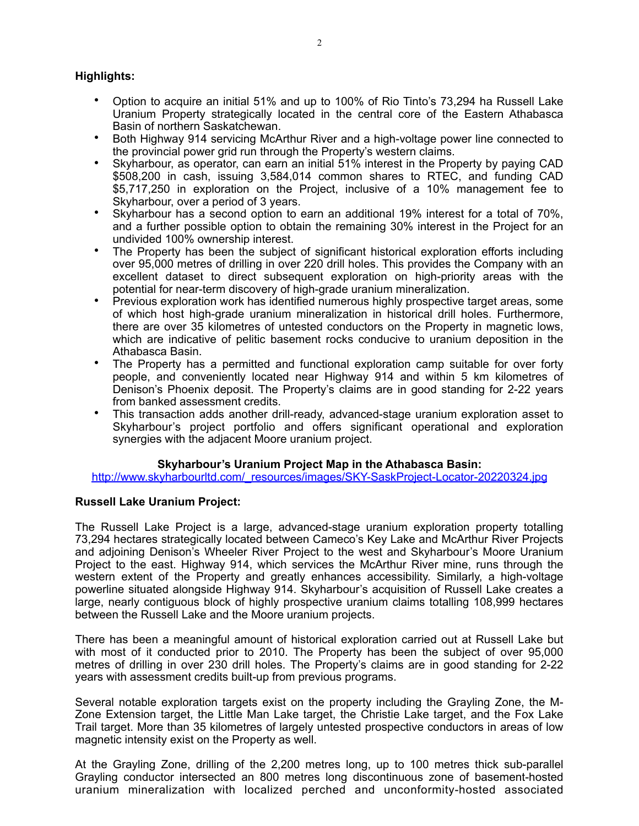## **Highlights:**

- Option to acquire an initial 51% and up to 100% of Rio Tinto's 73,294 ha Russell Lake Uranium Property strategically located in the central core of the Eastern Athabasca Basin of northern Saskatchewan.
- Both Highway 914 servicing McArthur River and a high-voltage power line connected to the provincial power grid run through the Property's western claims.
- Skyharbour, as operator, can earn an initial 51% interest in the Property by paying CAD \$508,200 in cash, issuing 3,584,014 common shares to RTEC, and funding CAD \$5,717,250 in exploration on the Project, inclusive of a 10% management fee to Skyharbour, over a period of 3 years.
- Skyharbour has a second option to earn an additional 19% interest for a total of 70%, and a further possible option to obtain the remaining 30% interest in the Project for an undivided 100% ownership interest.
- The Property has been the subject of significant historical exploration efforts including over 95,000 metres of drilling in over 220 drill holes. This provides the Company with an excellent dataset to direct subsequent exploration on high-priority areas with the potential for near-term discovery of high-grade uranium mineralization.
- Previous exploration work has identified numerous highly prospective target areas, some of which host high-grade uranium mineralization in historical drill holes. Furthermore, there are over 35 kilometres of untested conductors on the Property in magnetic lows, which are indicative of pelitic basement rocks conducive to uranium deposition in the Athabasca Basin.
- The Property has a permitted and functional exploration camp suitable for over forty people, and conveniently located near Highway 914 and within 5 km kilometres of Denison's Phoenix deposit. The Property's claims are in good standing for 2-22 years from banked assessment credits.
- This transaction adds another drill-ready, advanced-stage uranium exploration asset to Skyharbour's project portfolio and offers significant operational and exploration synergies with the adjacent Moore uranium project.

## **Skyharbour's Uranium Project Map in the Athabasca Basin:**

[http://www.skyharbourltd.com/\\_resources/images/SKY-SaskProject-Locator-20220324.jpg](https://can01.safelinks.protection.outlook.com/?url=http%253A%252F%252Fwww.skyharbourltd.com%252F_resources%252Fimages%252FSKY-SaskProject-Locator-20220324.jpg&data=05%257C01%257Cjtrimble%2540sentinelmarket.com%257C928771f9bc4d4bc1176208da3928e45f%257C7887c856c65a4519b618509a66239c3c%257C0%257C0%257C637885145034578143%257CUnknown%257CTWFpbGZsb3d8eyJWIjoiMC4wLjAwMDAiLCJQIjoiV2luMzIiLCJBTiI6Ik1haWwiLCJXVCI6Mn0%253D%257C3000%257C%257C%257C&sdata=BdjIL3BKT0JxZEo9YFLtuunc%252Bc2Fmx%252BcCLjwjYR94Nk%253D&reserved=0)

## **Russell Lake Uranium Project:**

The Russell Lake Project is a large, advanced-stage uranium exploration property totalling 73,294 hectares strategically located between Cameco's Key Lake and McArthur River Projects and adjoining Denison's Wheeler River Project to the west and Skyharbour's Moore Uranium Project to the east. Highway 914, which services the McArthur River mine, runs through the western extent of the Property and greatly enhances accessibility. Similarly, a high-voltage powerline situated alongside Highway 914. Skyharbour's acquisition of Russell Lake creates a large, nearly contiguous block of highly prospective uranium claims totalling 108,999 hectares between the Russell Lake and the Moore uranium projects.

There has been a meaningful amount of historical exploration carried out at Russell Lake but with most of it conducted prior to 2010. The Property has been the subject of over 95,000 metres of drilling in over 230 drill holes. The Property's claims are in good standing for 2-22 years with assessment credits built-up from previous programs.

Several notable exploration targets exist on the property including the Grayling Zone, the M-Zone Extension target, the Little Man Lake target, the Christie Lake target, and the Fox Lake Trail target. More than 35 kilometres of largely untested prospective conductors in areas of low magnetic intensity exist on the Property as well.

At the Grayling Zone, drilling of the 2,200 metres long, up to 100 metres thick sub-parallel Grayling conductor intersected an 800 metres long discontinuous zone of basement-hosted uranium mineralization with localized perched and unconformity-hosted associated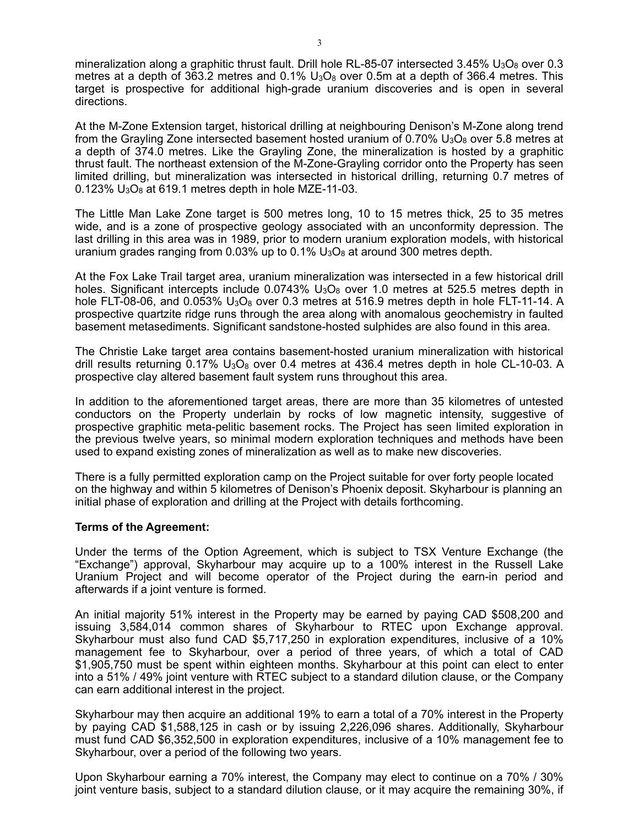mineralization along a graphitic thrust fault. Drill hole RL-85-07 intersected 3.45%  $U_3O_8$  over 0.3 metres at a depth of 363.2 metres and  $0.1\%$  U<sub>3</sub>O<sub>8</sub> over 0.5m at a depth of 366.4 metres. This target is prospective for additional high-grade uranium discoveries and is open in several directions.

At the M-Zone Extension target, historical drilling at neighbouring Denison's M-Zone along trend from the Grayling Zone intersected basement hosted uranium of  $0.70\%$  U<sub>3</sub>O<sub>8</sub> over 5.8 metres at a depth of 374.0 metres. Like the Grayling Zone, the mineralization is hosted by a graphitic thrust fault. The northeast extension of the M-Zone-Grayling corridor onto the Property has seen limited drilling, but mineralization was intersected in historical drilling, returning 0.7 metres of  $0.123\%$  U<sub>3</sub>O<sub>8</sub> at 619.1 metres depth in hole MZE-11-03.

The Little Man Lake Zone target is 500 metres long, 10 to 15 metres thick, 25 to 35 metres wide, and is a zone of prospective geology associated with an unconformity depression. The last drilling in this area was in 1989, prior to modern uranium exploration models, with historical uranium grades ranging from 0.03% up to  $0.1\%$  U<sub>3</sub>O<sub>8</sub> at around 300 metres depth.

At the Fox Lake Trail target area, uranium mineralization was intersected in a few historical drill holes. Significant intercepts include  $0.0743\%$  U<sub>3</sub>O<sub>8</sub> over 1.0 metres at 525.5 metres depth in hole FLT-08-06, and 0.053%  $U_3O_8$  over 0.3 metres at 516.9 metres depth in hole FLT-11-14. A prospective quartzite ridge runs through the area along with anomalous geochemistry in faulted basement metasediments. Significant sandstone-hosted sulphides are also found in this area.

The Christie Lake target area contains basement-hosted uranium mineralization with historical drill results returning  $0.17\%$  U<sub>3</sub>O<sub>8</sub> over 0.4 metres at 436.4 metres depth in hole CL-10-03. A prospective clay altered basement fault system runs throughout this area.

In addition to the aforementioned target areas, there are more than 35 kilometres of untested conductors on the Property underlain by rocks of low magnetic intensity, suggestive of prospective graphitic meta-pelitic basement rocks. The Project has seen limited exploration in the previous twelve years, so minimal modern exploration techniques and methods have been used to expand existing zones of mineralization as well as to make new discoveries.

There is a fully permitted exploration camp on the Project suitable for over forty people located on the highway and within 5 kilometres of Denison's Phoenix deposit. Skyharbour is planning an initial phase of exploration and drilling at the Project with details forthcoming.

## **Terms of the Agreement:**

Under the terms of the Option Agreement, which is subject to TSX Venture Exchange (the "Exchange") approval, Skyharbour may acquire up to a 100% interest in the Russell Lake Uranium Project and will become operator of the Project during the earn-in period and afterwards if a joint venture is formed.

An initial majority 51% interest in the Property may be earned by paying CAD \$508,200 and issuing 3,584,014 common shares of Skyharbour to RTEC upon Exchange approval. Skyharbour must also fund CAD \$5,717,250 in exploration expenditures, inclusive of a 10% management fee to Skyharbour, over a period of three years, of which a total of CAD \$1,905,750 must be spent within eighteen months. Skyharbour at this point can elect to enter into a 51% / 49% joint venture with RTEC subject to a standard dilution clause, or the Company can earn additional interest in the project.

Skyharbour may then acquire an additional 19% to earn a total of a 70% interest in the Property by paying CAD \$1,588,125 in cash or by issuing 2,226,096 shares. Additionally, Skyharbour must fund CAD \$6,352,500 in exploration expenditures, inclusive of a 10% management fee to Skyharbour, over a period of the following two years.

Upon Skyharbour earning a 70% interest, the Company may elect to continue on a 70% / 30% joint venture basis, subject to a standard dilution clause, or it may acquire the remaining 30%, if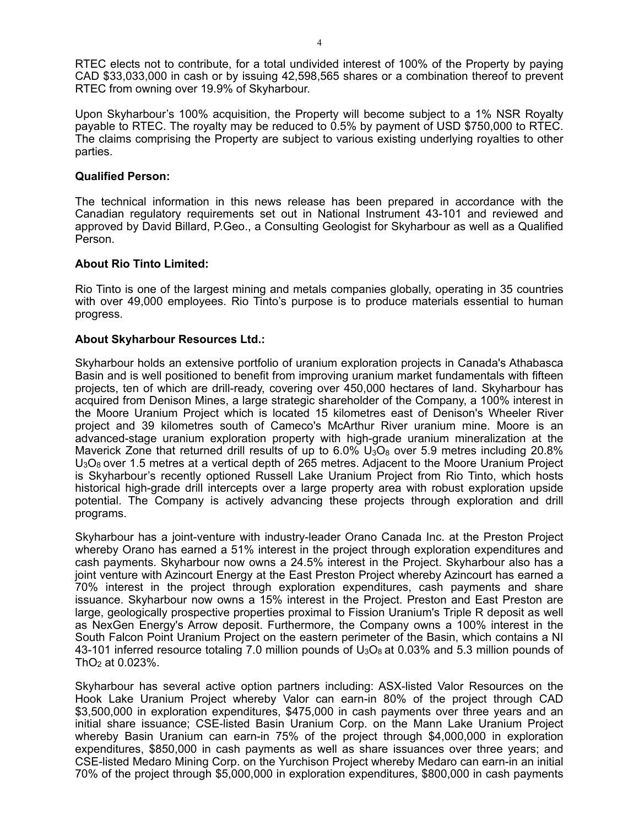RTEC elects not to contribute, for a total undivided interest of 100% of the Property by paying CAD \$33,033,000 in cash or by issuing 42,598,565 shares or a combination thereof to prevent RTEC from owning over 19.9% of Skyharbour.

Upon Skyharbour's 100% acquisition, the Property will become subject to a 1% NSR Royalty payable to RTEC. The royalty may be reduced to 0.5% by payment of USD \$750,000 to RTEC. The claims comprising the Property are subject to various existing underlying royalties to other parties.

#### **Qualified Person:**

The technical information in this news release has been prepared in accordance with the Canadian regulatory requirements set out in National Instrument 43-101 and reviewed and approved by David Billard, P.Geo., a Consulting Geologist for Skyharbour as well as a Qualified Person.

## **About Rio Tinto Limited:**

Rio Tinto is one of the largest mining and metals companies globally, operating in 35 countries with over 49,000 employees. Rio Tinto's purpose is to produce materials essential to human progress.

#### **About Skyharbour Resources Ltd.:**

Skyharbour holds an extensive portfolio of uranium exploration projects in Canada's Athabasca Basin and is well positioned to benefit from improving uranium market fundamentals with fifteen projects, ten of which are drill-ready, covering over 450,000 hectares of land. Skyharbour has acquired from Denison Mines, a large strategic shareholder of the Company, a 100% interest in the Moore Uranium Project which is located 15 kilometres east of Denison's Wheeler River project and 39 kilometres south of Cameco's McArthur River uranium mine. Moore is an advanced-stage uranium exploration property with high-grade uranium mineralization at the Maverick Zone that returned drill results of up to  $6.0\%$  U<sub>3</sub>O<sub>8</sub> over 5.9 metres including 20.8%  $U_3O_8$  over 1.5 metres at a vertical depth of 265 metres. Adjacent to the Moore Uranium Project is Skyharbour's recently optioned Russell Lake Uranium Project from Rio Tinto, which hosts historical high-grade drill intercepts over a large property area with robust exploration upside potential. The Company is actively advancing these projects through exploration and drill programs.

Skyharbour has a joint-venture with industry-leader Orano Canada Inc. at the Preston Project whereby Orano has earned a 51% interest in the project through exploration expenditures and cash payments. Skyharbour now owns a 24.5% interest in the Project. Skyharbour also has a joint venture with Azincourt Energy at the East Preston Project whereby Azincourt has earned a 70% interest in the project through exploration expenditures, cash payments and share issuance. Skyharbour now owns a 15% interest in the Project. Preston and East Preston are large, geologically prospective properties proximal to Fission Uranium's Triple R deposit as well as NexGen Energy's Arrow deposit. Furthermore, the Company owns a 100% interest in the South Falcon Point Uranium Project on the eastern perimeter of the Basin, which contains a NI 43-101 inferred resource totaling 7.0 million pounds of  $U_3O_8$  at 0.03% and 5.3 million pounds of  $ThO<sub>2</sub>$  at 0.023%.

Skyharbour has several active option partners including: ASX-listed Valor Resources on the Hook Lake Uranium Project whereby Valor can earn-in 80% of the project through CAD \$3,500,000 in exploration expenditures, \$475,000 in cash payments over three years and an initial share issuance; CSE-listed Basin Uranium Corp. on the Mann Lake Uranium Project whereby Basin Uranium can earn-in 75% of the project through \$4,000,000 in exploration expenditures, \$850,000 in cash payments as well as share issuances over three years; and CSE-listed Medaro Mining Corp. on the Yurchison Project whereby Medaro can earn-in an initial 70% of the project through \$5,000,000 in exploration expenditures, \$800,000 in cash payments